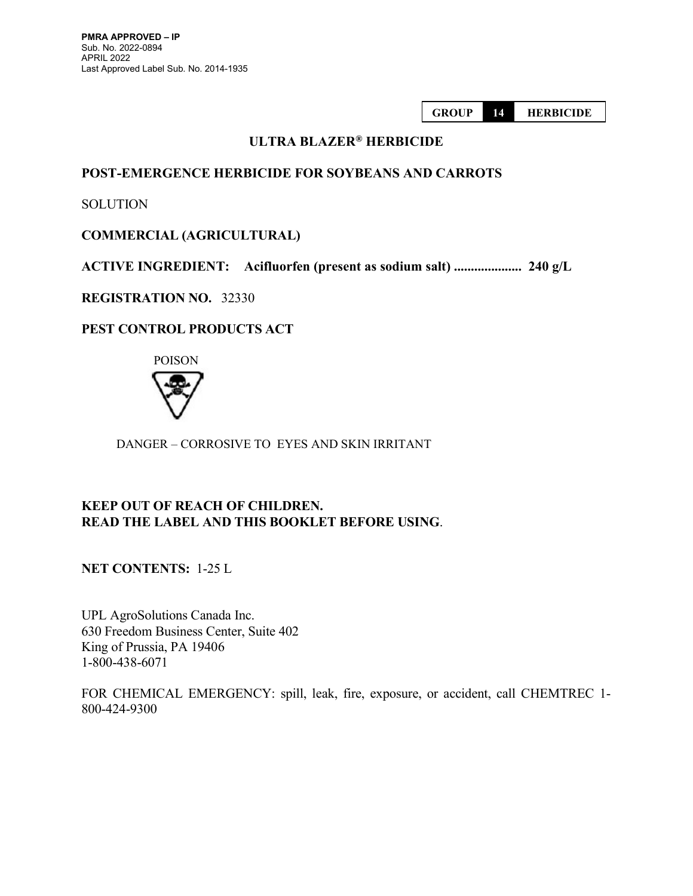GROUP 14 HERBICIDE

# ULTRA BLAZER® HERBICIDE

# POST-EMERGENCE HERBICIDE FOR SOYBEANS AND CARROTS

**SOLUTION** 

# COMMERCIAL (AGRICULTURAL)

ACTIVE INGREDIENT: Acifluorfen (present as sodium salt) .................... 240 g/L

REGISTRATION NO. 32330

# PEST CONTROL PRODUCTS ACT



DANGER – CORROSIVE TO EYES AND SKIN IRRITANT

# KEEP OUT OF REACH OF CHILDREN. READ THE LABEL AND THIS BOOKLET BEFORE USING.

NET CONTENTS: 1-25 L

UPL AgroSolutions Canada Inc. 630 Freedom Business Center, Suite 402 King of Prussia, PA 19406 1-800-438-6071

FOR CHEMICAL EMERGENCY: spill, leak, fire, exposure, or accident, call CHEMTREC 1- 800-424-9300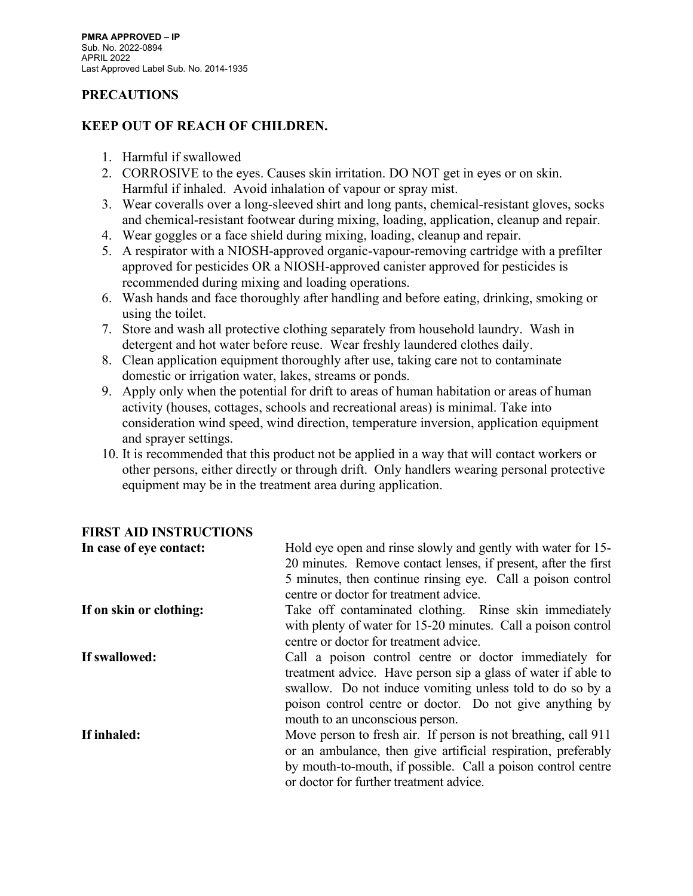# PRECAUTIONS

# KEEP OUT OF REACH OF CHILDREN.

- 1. Harmful if swallowed
- 2. CORROSIVE to the eyes. Causes skin irritation. DO NOT get in eyes or on skin. Harmful if inhaled. Avoid inhalation of vapour or spray mist.
- 3. Wear coveralls over a long-sleeved shirt and long pants, chemical-resistant gloves, socks and chemical-resistant footwear during mixing, loading, application, cleanup and repair.
- 4. Wear goggles or a face shield during mixing, loading, cleanup and repair.
- 5. A respirator with a NIOSH-approved organic-vapour-removing cartridge with a prefilter approved for pesticides OR a NIOSH-approved canister approved for pesticides is recommended during mixing and loading operations.
- 6. Wash hands and face thoroughly after handling and before eating, drinking, smoking or using the toilet.
- 7. Store and wash all protective clothing separately from household laundry. Wash in detergent and hot water before reuse. Wear freshly laundered clothes daily.
- 8. Clean application equipment thoroughly after use, taking care not to contaminate domestic or irrigation water, lakes, streams or ponds.
- 9. Apply only when the potential for drift to areas of human habitation or areas of human activity (houses, cottages, schools and recreational areas) is minimal. Take into consideration wind speed, wind direction, temperature inversion, application equipment and sprayer settings.
- 10. It is recommended that this product not be applied in a way that will contact workers or other persons, either directly or through drift. Only handlers wearing personal protective equipment may be in the treatment area during application.

| In case of eye contact: | Hold eye open and rinse slowly and gently with water for 15-   |  |  |
|-------------------------|----------------------------------------------------------------|--|--|
|                         | 20 minutes. Remove contact lenses, if present, after the first |  |  |
|                         | 5 minutes, then continue rinsing eye. Call a poison control    |  |  |
|                         | centre or doctor for treatment advice.                         |  |  |
| If on skin or clothing: | Take off contaminated clothing. Rinse skin immediately         |  |  |
|                         | with plenty of water for 15-20 minutes. Call a poison control  |  |  |
|                         | centre or doctor for treatment advice.                         |  |  |
| If swallowed:           | Call a poison control centre or doctor immediately for         |  |  |
|                         | treatment advice. Have person sip a glass of water if able to  |  |  |
|                         | swallow. Do not induce vomiting unless told to do so by a      |  |  |
|                         | poison control centre or doctor. Do not give anything by       |  |  |
|                         | mouth to an unconscious person.                                |  |  |
| If inhaled:             | Move person to fresh air. If person is not breathing, call 911 |  |  |
|                         | or an ambulance, then give artificial respiration, preferably  |  |  |
|                         | by mouth-to-mouth, if possible. Call a poison control centre   |  |  |
|                         | or doctor for further treatment advice.                        |  |  |

# FIRST AID INSTRUCTIONS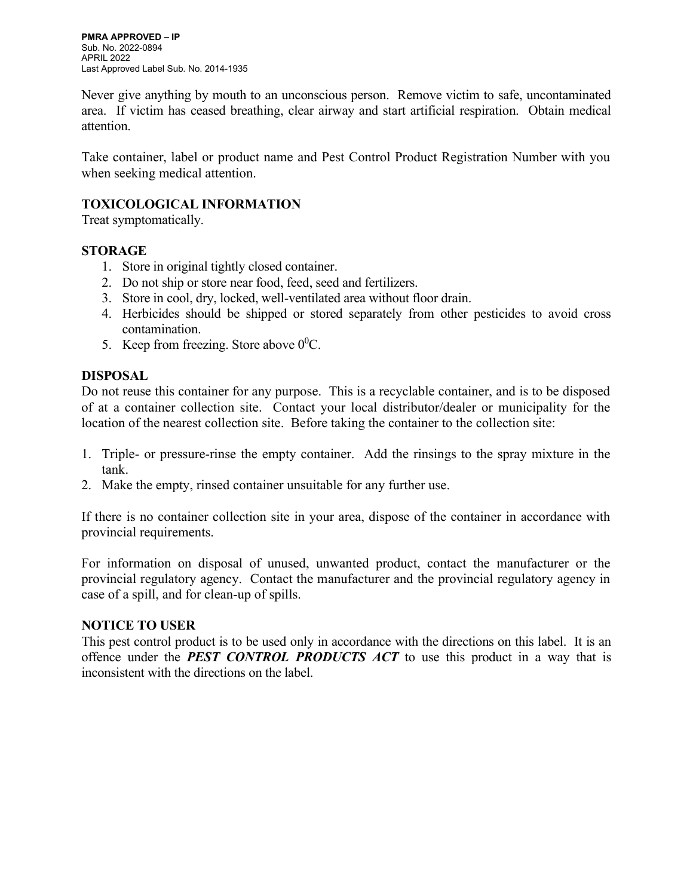Never give anything by mouth to an unconscious person. Remove victim to safe, uncontaminated area. If victim has ceased breathing, clear airway and start artificial respiration. Obtain medical attention.

Take container, label or product name and Pest Control Product Registration Number with you when seeking medical attention.

# TOXICOLOGICAL INFORMATION

Treat symptomatically.

# STORAGE

- 1. Store in original tightly closed container.
- 2. Do not ship or store near food, feed, seed and fertilizers.
- 3. Store in cool, dry, locked, well-ventilated area without floor drain.
- 4. Herbicides should be shipped or stored separately from other pesticides to avoid cross contamination.
- 5. Keep from freezing. Store above  $0^0C$ .

# DISPOSAL

Do not reuse this container for any purpose. This is a recyclable container, and is to be disposed of at a container collection site. Contact your local distributor/dealer or municipality for the location of the nearest collection site. Before taking the container to the collection site:

- 1. Triple- or pressure-rinse the empty container. Add the rinsings to the spray mixture in the tank.
- 2. Make the empty, rinsed container unsuitable for any further use.

If there is no container collection site in your area, dispose of the container in accordance with provincial requirements.

For information on disposal of unused, unwanted product, contact the manufacturer or the provincial regulatory agency. Contact the manufacturer and the provincial regulatory agency in case of a spill, and for clean-up of spills.

# NOTICE TO USER

This pest control product is to be used only in accordance with the directions on this label. It is an offence under the **PEST CONTROL PRODUCTS ACT** to use this product in a way that is inconsistent with the directions on the label.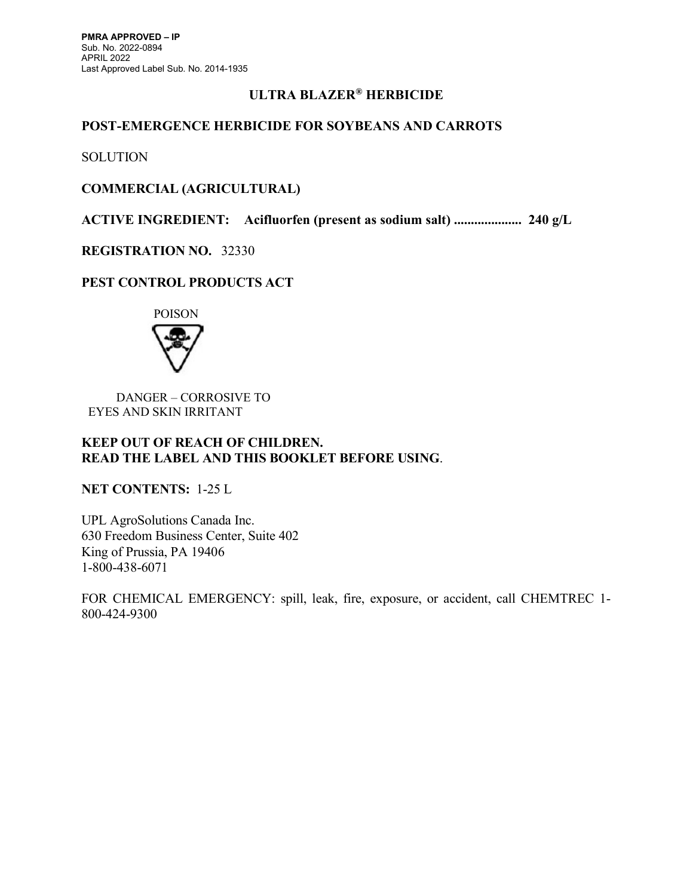# ULTRA BLAZER® HERBICIDE

# POST-EMERGENCE HERBICIDE FOR SOYBEANS AND CARROTS

**SOLUTION** 

# COMMERCIAL (AGRICULTURAL)

ACTIVE INGREDIENT: Acifluorfen (present as sodium salt) .................... 240 g/L

# REGISTRATION NO. 32330

# PEST CONTROL PRODUCTS ACT



 DANGER – CORROSIVE TO EYES AND SKIN IRRITANT

## KEEP OUT OF REACH OF CHILDREN. READ THE LABEL AND THIS BOOKLET BEFORE USING.

NET CONTENTS: 1-25 L

UPL AgroSolutions Canada Inc. 630 Freedom Business Center, Suite 402 King of Prussia, PA 19406 1-800-438-6071

FOR CHEMICAL EMERGENCY: spill, leak, fire, exposure, or accident, call CHEMTREC 1- 800-424-9300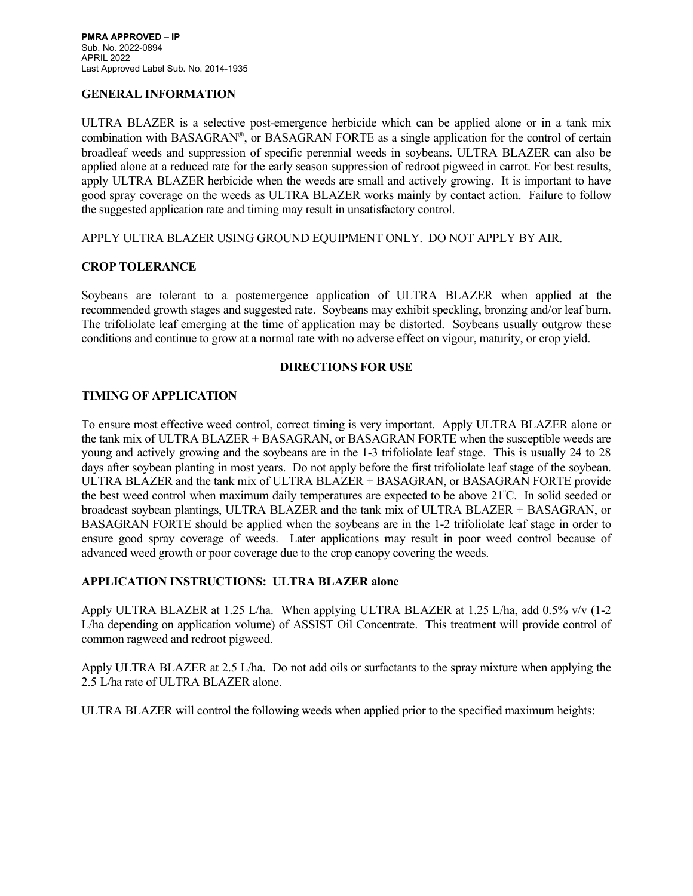#### GENERAL INFORMATION

ULTRA BLAZER is a selective post-emergence herbicide which can be applied alone or in a tank mix combination with BASAGRAN®, or BASAGRAN FORTE as a single application for the control of certain broadleaf weeds and suppression of specific perennial weeds in soybeans. ULTRA BLAZER can also be applied alone at a reduced rate for the early season suppression of redroot pigweed in carrot. For best results, apply ULTRA BLAZER herbicide when the weeds are small and actively growing. It is important to have good spray coverage on the weeds as ULTRA BLAZER works mainly by contact action. Failure to follow the suggested application rate and timing may result in unsatisfactory control.

APPLY ULTRA BLAZER USING GROUND EQUIPMENT ONLY. DO NOT APPLY BY AIR.

#### CROP TOLERANCE

Soybeans are tolerant to a postemergence application of ULTRA BLAZER when applied at the recommended growth stages and suggested rate. Soybeans may exhibit speckling, bronzing and/or leaf burn. The trifoliolate leaf emerging at the time of application may be distorted. Soybeans usually outgrow these conditions and continue to grow at a normal rate with no adverse effect on vigour, maturity, or crop yield.

## DIRECTIONS FOR USE

## TIMING OF APPLICATION

To ensure most effective weed control, correct timing is very important. Apply ULTRA BLAZER alone or the tank mix of ULTRA BLAZER + BASAGRAN, or BASAGRAN FORTE when the susceptible weeds are young and actively growing and the soybeans are in the 1-3 trifoliolate leaf stage. This is usually 24 to 28 days after soybean planting in most years. Do not apply before the first trifoliolate leaf stage of the soybean. ULTRA BLAZER and the tank mix of ULTRA BLAZER + BASAGRAN, or BASAGRAN FORTE provide the best weed control when maximum daily temperatures are expected to be above 21<sup>º</sup>C. In solid seeded or broadcast soybean plantings, ULTRA BLAZER and the tank mix of ULTRA BLAZER + BASAGRAN, or BASAGRAN FORTE should be applied when the soybeans are in the 1-2 trifoliolate leaf stage in order to ensure good spray coverage of weeds. Later applications may result in poor weed control because of advanced weed growth or poor coverage due to the crop canopy covering the weeds.

## APPLICATION INSTRUCTIONS: ULTRA BLAZER alone

Apply ULTRA BLAZER at 1.25 L/ha. When applying ULTRA BLAZER at 1.25 L/ha, add 0.5% v/v (1-2 L/ha depending on application volume) of ASSIST Oil Concentrate. This treatment will provide control of common ragweed and redroot pigweed.

Apply ULTRA BLAZER at 2.5 L/ha. Do not add oils or surfactants to the spray mixture when applying the 2.5 L/ha rate of ULTRA BLAZER alone.

ULTRA BLAZER will control the following weeds when applied prior to the specified maximum heights: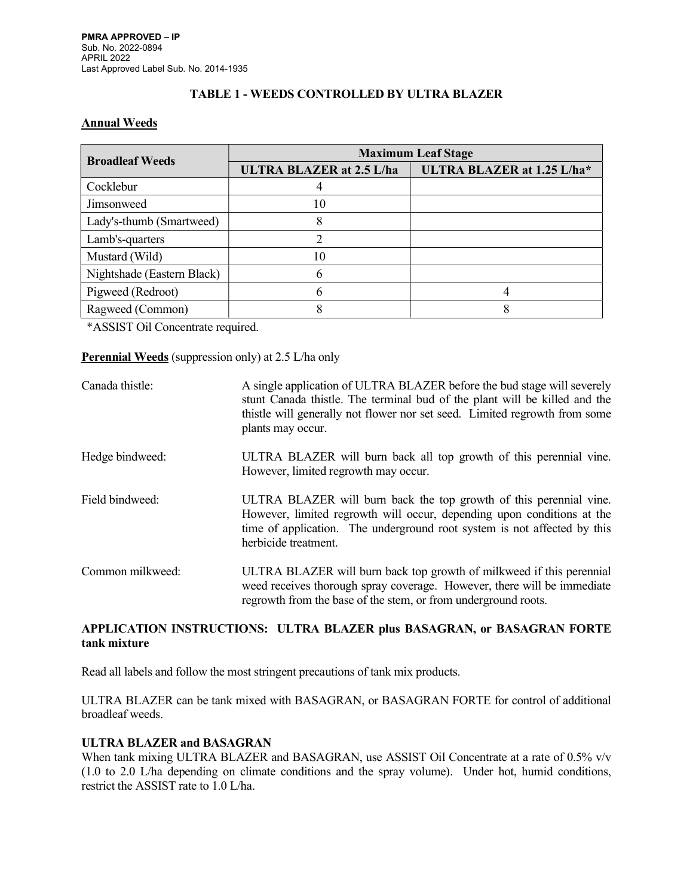## TABLE 1 - WEEDS CONTROLLED BY ULTRA BLAZER

### Annual Weeds

| <b>Broadleaf Weeds</b>     | <b>Maximum Leaf Stage</b>       |                            |
|----------------------------|---------------------------------|----------------------------|
|                            | <b>ULTRA BLAZER at 2.5 L/ha</b> | ULTRA BLAZER at 1.25 L/ha* |
| Cocklebur                  |                                 |                            |
| <b>Jimsonweed</b>          | 10                              |                            |
| Lady's-thumb (Smartweed)   | 8                               |                            |
| Lamb's-quarters            |                                 |                            |
| Mustard (Wild)             | 10                              |                            |
| Nightshade (Eastern Black) | 6                               |                            |
| Pigweed (Redroot)          | O                               |                            |
| Ragweed (Common)           |                                 |                            |

\*ASSIST Oil Concentrate required.

#### Perennial Weeds (suppression only) at 2.5 L/ha only

| Canada thistle:  | A single application of ULTRA BLAZER before the bud stage will severely<br>stunt Canada thistle. The terminal bud of the plant will be killed and the<br>thistle will generally not flower nor set seed. Limited regrowth from some<br>plants may occur. |
|------------------|----------------------------------------------------------------------------------------------------------------------------------------------------------------------------------------------------------------------------------------------------------|
| Hedge bindweed:  | ULTRA BLAZER will burn back all top growth of this perennial vine.<br>However, limited regrowth may occur.                                                                                                                                               |
| Field bindweed:  | ULTRA BLAZER will burn back the top growth of this perennial vine.<br>However, limited regrowth will occur, depending upon conditions at the<br>time of application. The underground root system is not affected by this<br>herbicide treatment.         |
| Common milkweed: | ULTRA BLAZER will burn back top growth of milkweed if this perennial<br>weed receives thorough spray coverage. However, there will be immediate<br>regrowth from the base of the stem, or from underground roots.                                        |

## APPLICATION INSTRUCTIONS: ULTRA BLAZER plus BASAGRAN, or BASAGRAN FORTE tank mixture

Read all labels and follow the most stringent precautions of tank mix products.

ULTRA BLAZER can be tank mixed with BASAGRAN, or BASAGRAN FORTE for control of additional broadleaf weeds.

## ULTRA BLAZER and BASAGRAN

When tank mixing ULTRA BLAZER and BASAGRAN, use ASSIST Oil Concentrate at a rate of 0.5% v/v (1.0 to 2.0 L/ha depending on climate conditions and the spray volume). Under hot, humid conditions, restrict the ASSIST rate to 1.0 L/ha.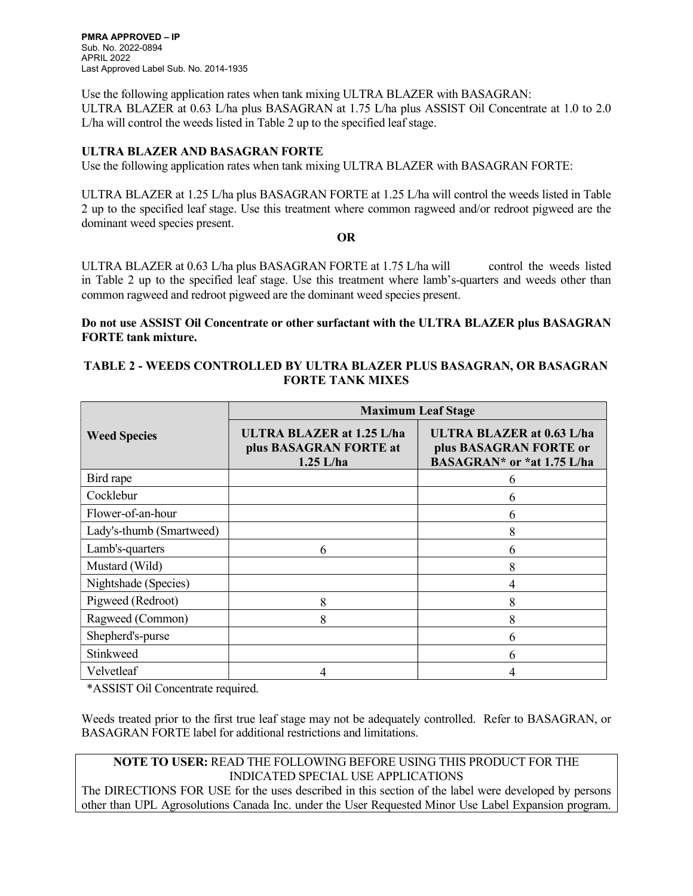PMRA APPROVED – IP Sub. No. 2022-0894 APRIL 2022 Last Approved Label Sub. No. 2014-1935

Use the following application rates when tank mixing ULTRA BLAZER with BASAGRAN: ULTRA BLAZER at 0.63 L/ha plus BASAGRAN at 1.75 L/ha plus ASSIST Oil Concentrate at 1.0 to 2.0 L/ha will control the weeds listed in Table 2 up to the specified leaf stage.

## ULTRA BLAZER AND BASAGRAN FORTE

Use the following application rates when tank mixing ULTRA BLAZER with BASAGRAN FORTE:

ULTRA BLAZER at 1.25 L/ha plus BASAGRAN FORTE at 1.25 L/ha will control the weeds listed in Table 2 up to the specified leaf stage. Use this treatment where common ragweed and/or redroot pigweed are the dominant weed species present.

#### OR

ULTRA BLAZER at 0.63 L/ha plus BASAGRAN FORTE at 1.75 L/ha will control the weeds listed in Table 2 up to the specified leaf stage. Use this treatment where lamb's-quarters and weeds other than common ragweed and redroot pigweed are the dominant weed species present.

### Do not use ASSIST Oil Concentrate or other surfactant with the ULTRA BLAZER plus BASAGRAN FORTE tank mixture.

### TABLE 2 - WEEDS CONTROLLED BY ULTRA BLAZER PLUS BASAGRAN, OR BASAGRAN FORTE TANK MIXES

|                          | <b>Maximum Leaf Stage</b>                                                 |                                                                                          |  |
|--------------------------|---------------------------------------------------------------------------|------------------------------------------------------------------------------------------|--|
| <b>Weed Species</b>      | <b>ULTRA BLAZER at 1.25 L/ha</b><br>plus BASAGRAN FORTE at<br>$1.25$ L/ha | <b>ULTRA BLAZER at 0.63 L/ha</b><br>plus BASAGRAN FORTE or<br>BASAGRAN* or *at 1.75 L/ha |  |
| Bird rape                |                                                                           | h                                                                                        |  |
| Cocklebur                |                                                                           | 6                                                                                        |  |
| Flower-of-an-hour        |                                                                           | 6                                                                                        |  |
| Lady's-thumb (Smartweed) |                                                                           | 8                                                                                        |  |
| Lamb's-quarters          | 6                                                                         | 6                                                                                        |  |
| Mustard (Wild)           |                                                                           | 8                                                                                        |  |
| Nightshade (Species)     |                                                                           | 4                                                                                        |  |
| Pigweed (Redroot)        | 8                                                                         | 8                                                                                        |  |
| Ragweed (Common)         | 8                                                                         | 8                                                                                        |  |
| Shepherd's-purse         |                                                                           | 6                                                                                        |  |
| Stinkweed                |                                                                           | 6                                                                                        |  |
| Velvetleaf               | 4                                                                         |                                                                                          |  |

\*ASSIST Oil Concentrate required.

Weeds treated prior to the first true leaf stage may not be adequately controlled. Refer to BASAGRAN, or BASAGRAN FORTE label for additional restrictions and limitations.

# NOTE TO USER: READ THE FOLLOWING BEFORE USING THIS PRODUCT FOR THE INDICATED SPECIAL USE APPLICATIONS

The DIRECTIONS FOR USE for the uses described in this section of the label were developed by persons other than UPL Agrosolutions Canada Inc. under the User Requested Minor Use Label Expansion program.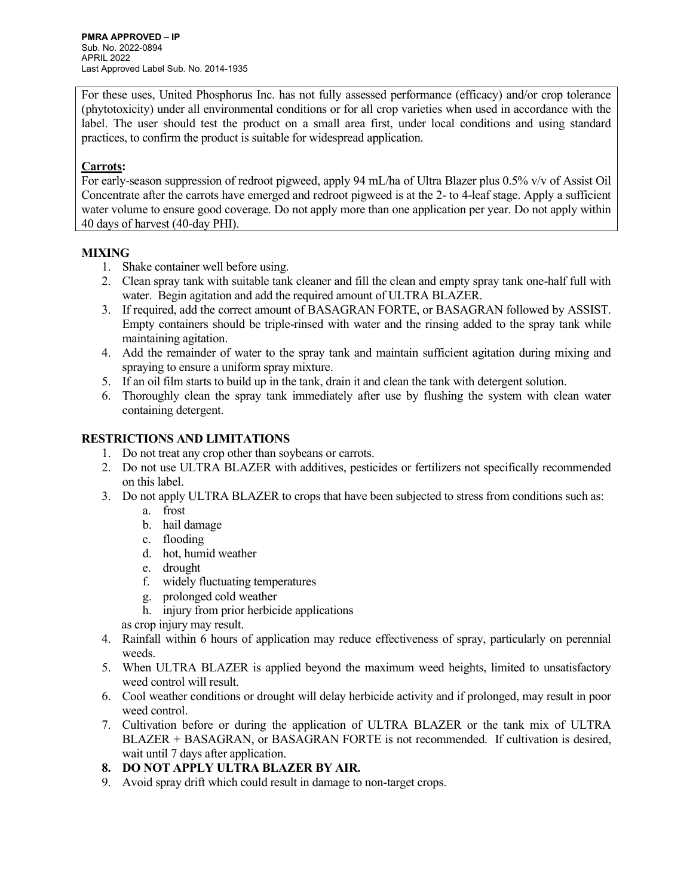For these uses, United Phosphorus Inc. has not fully assessed performance (efficacy) and/or crop tolerance (phytotoxicity) under all environmental conditions or for all crop varieties when used in accordance with the label. The user should test the product on a small area first, under local conditions and using standard practices, to confirm the product is suitable for widespread application.

## Carrots:

For early-season suppression of redroot pigweed, apply 94 mL/ha of Ultra Blazer plus 0.5% v/v of Assist Oil Concentrate after the carrots have emerged and redroot pigweed is at the 2- to 4-leaf stage. Apply a sufficient water volume to ensure good coverage. Do not apply more than one application per year. Do not apply within 40 days of harvest (40-day PHI).

## MIXING

- 1. Shake container well before using.
- 2. Clean spray tank with suitable tank cleaner and fill the clean and empty spray tank one-half full with water. Begin agitation and add the required amount of ULTRA BLAZER.
- 3. If required, add the correct amount of BASAGRAN FORTE, or BASAGRAN followed by ASSIST. Empty containers should be triple-rinsed with water and the rinsing added to the spray tank while maintaining agitation.
- 4. Add the remainder of water to the spray tank and maintain sufficient agitation during mixing and spraying to ensure a uniform spray mixture.
- 5. If an oil film starts to build up in the tank, drain it and clean the tank with detergent solution.
- 6. Thoroughly clean the spray tank immediately after use by flushing the system with clean water containing detergent.

# RESTRICTIONS AND LIMITATIONS

- 1. Do not treat any crop other than soybeans or carrots.
- 2. Do not use ULTRA BLAZER with additives, pesticides or fertilizers not specifically recommended on this label.
- 3. Do not apply ULTRA BLAZER to crops that have been subjected to stress from conditions such as:
	- a. frost
	- b. hail damage
	- c. flooding
	- d. hot, humid weather
	- e. drought
	- f. widely fluctuating temperatures
	- g. prolonged cold weather
	- h. injury from prior herbicide applications
	- as crop injury may result.
- 4. Rainfall within 6 hours of application may reduce effectiveness of spray, particularly on perennial weeds.
- 5. When ULTRA BLAZER is applied beyond the maximum weed heights, limited to unsatisfactory weed control will result.
- 6. Cool weather conditions or drought will delay herbicide activity and if prolonged, may result in poor weed control.
- 7. Cultivation before or during the application of ULTRA BLAZER or the tank mix of ULTRA BLAZER + BASAGRAN, or BASAGRAN FORTE is not recommended. If cultivation is desired, wait until 7 days after application.

# 8. DO NOT APPLY ULTRA BLAZER BY AIR.

9. Avoid spray drift which could result in damage to non-target crops.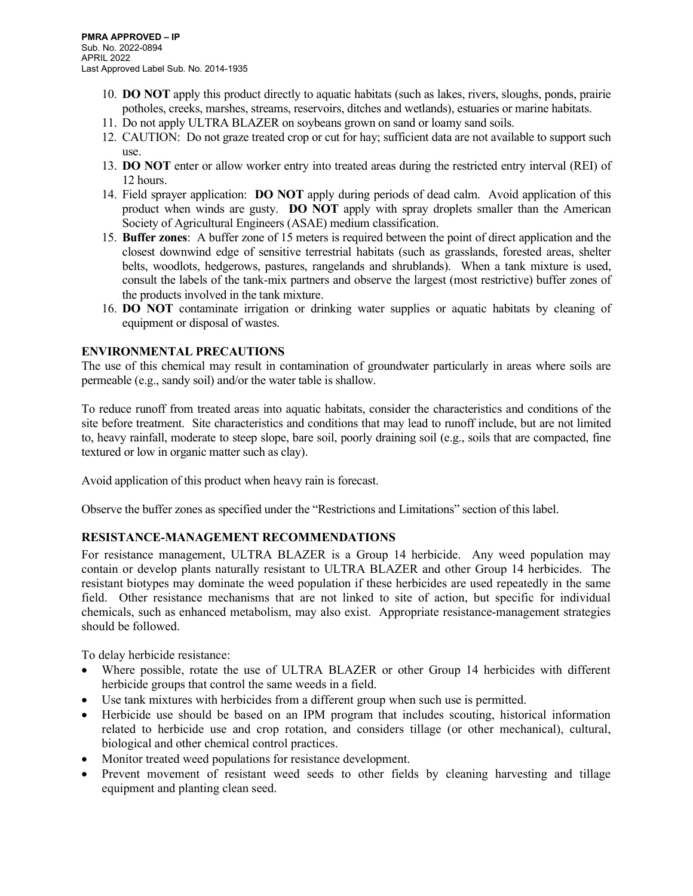- 10. DO NOT apply this product directly to aquatic habitats (such as lakes, rivers, sloughs, ponds, prairie potholes, creeks, marshes, streams, reservoirs, ditches and wetlands), estuaries or marine habitats.
- 11. Do not apply ULTRA BLAZER on soybeans grown on sand or loamy sand soils.
- 12. CAUTION: Do not graze treated crop or cut for hay; sufficient data are not available to support such use.
- 13. DO NOT enter or allow worker entry into treated areas during the restricted entry interval (REI) of 12 hours.
- 14. Field sprayer application: DO NOT apply during periods of dead calm. Avoid application of this product when winds are gusty. DO NOT apply with spray droplets smaller than the American Society of Agricultural Engineers (ASAE) medium classification.
- 15. Buffer zones: A buffer zone of 15 meters is required between the point of direct application and the closest downwind edge of sensitive terrestrial habitats (such as grasslands, forested areas, shelter belts, woodlots, hedgerows, pastures, rangelands and shrublands). When a tank mixture is used, consult the labels of the tank-mix partners and observe the largest (most restrictive) buffer zones of the products involved in the tank mixture.
- 16. DO NOT contaminate irrigation or drinking water supplies or aquatic habitats by cleaning of equipment or disposal of wastes.

## ENVIRONMENTAL PRECAUTIONS

The use of this chemical may result in contamination of groundwater particularly in areas where soils are permeable (e.g., sandy soil) and/or the water table is shallow.

To reduce runoff from treated areas into aquatic habitats, consider the characteristics and conditions of the site before treatment. Site characteristics and conditions that may lead to runoff include, but are not limited to, heavy rainfall, moderate to steep slope, bare soil, poorly draining soil (e.g., soils that are compacted, fine textured or low in organic matter such as clay).

Avoid application of this product when heavy rain is forecast.

Observe the buffer zones as specified under the "Restrictions and Limitations" section of this label.

## RESISTANCE-MANAGEMENT RECOMMENDATIONS

For resistance management, ULTRA BLAZER is a Group 14 herbicide. Any weed population may contain or develop plants naturally resistant to ULTRA BLAZER and other Group 14 herbicides. The resistant biotypes may dominate the weed population if these herbicides are used repeatedly in the same field. Other resistance mechanisms that are not linked to site of action, but specific for individual chemicals, such as enhanced metabolism, may also exist. Appropriate resistance-management strategies should be followed.

To delay herbicide resistance:

- Where possible, rotate the use of ULTRA BLAZER or other Group 14 herbicides with different herbicide groups that control the same weeds in a field.
- Use tank mixtures with herbicides from a different group when such use is permitted.
- Herbicide use should be based on an IPM program that includes scouting, historical information related to herbicide use and crop rotation, and considers tillage (or other mechanical), cultural, biological and other chemical control practices.
- Monitor treated weed populations for resistance development.
- Prevent movement of resistant weed seeds to other fields by cleaning harvesting and tillage equipment and planting clean seed.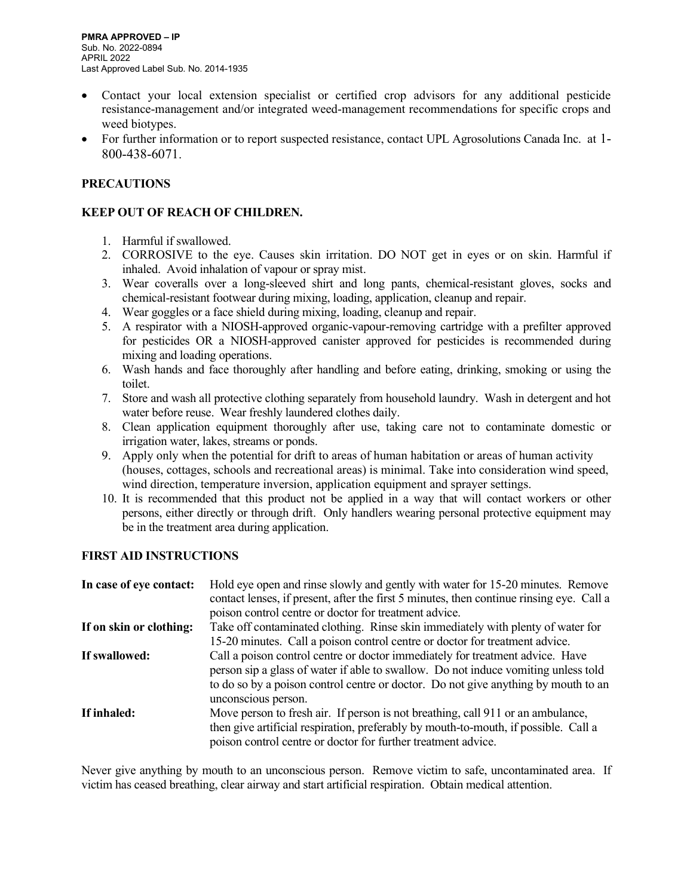- Contact your local extension specialist or certified crop advisors for any additional pesticide resistance-management and/or integrated weed-management recommendations for specific crops and weed biotypes.
- For further information or to report suspected resistance, contact UPL Agrosolutions Canada Inc. at 1- 800-438-6071.

# **PRECAUTIONS**

## KEEP OUT OF REACH OF CHILDREN.

- 1. Harmful if swallowed.
- 2. CORROSIVE to the eye. Causes skin irritation. DO NOT get in eyes or on skin. Harmful if inhaled. Avoid inhalation of vapour or spray mist.
- 3. Wear coveralls over a long-sleeved shirt and long pants, chemical-resistant gloves, socks and chemical-resistant footwear during mixing, loading, application, cleanup and repair.
- 4. Wear goggles or a face shield during mixing, loading, cleanup and repair.
- 5. A respirator with a NIOSH-approved organic-vapour-removing cartridge with a prefilter approved for pesticides OR a NIOSH-approved canister approved for pesticides is recommended during mixing and loading operations.
- 6. Wash hands and face thoroughly after handling and before eating, drinking, smoking or using the toilet.
- 7. Store and wash all protective clothing separately from household laundry. Wash in detergent and hot water before reuse. Wear freshly laundered clothes daily.
- 8. Clean application equipment thoroughly after use, taking care not to contaminate domestic or irrigation water, lakes, streams or ponds.
- 9. Apply only when the potential for drift to areas of human habitation or areas of human activity (houses, cottages, schools and recreational areas) is minimal. Take into consideration wind speed, wind direction, temperature inversion, application equipment and sprayer settings.
- 10. It is recommended that this product not be applied in a way that will contact workers or other persons, either directly or through drift. Only handlers wearing personal protective equipment may be in the treatment area during application.

# FIRST AID INSTRUCTIONS

| In case of eye contact: | Hold eye open and rinse slowly and gently with water for 15-20 minutes. Remove<br>contact lenses, if present, after the first 5 minutes, then continue rinsing eye. Call a<br>poison control centre or doctor for treatment advice.                                              |
|-------------------------|----------------------------------------------------------------------------------------------------------------------------------------------------------------------------------------------------------------------------------------------------------------------------------|
| If on skin or clothing: | Take off contaminated clothing. Rinse skin immediately with plenty of water for<br>15-20 minutes. Call a poison control centre or doctor for treatment advice.                                                                                                                   |
| If swallowed:           | Call a poison control centre or doctor immediately for treatment advice. Have<br>person sip a glass of water if able to swallow. Do not induce vomiting unless told<br>to do so by a poison control centre or doctor. Do not give anything by mouth to an<br>unconscious person. |
| If inhaled:             | Move person to fresh air. If person is not breathing, call 911 or an ambulance,<br>then give artificial respiration, preferably by mouth-to-mouth, if possible. Call a<br>poison control centre or doctor for further treatment advice.                                          |

Never give anything by mouth to an unconscious person. Remove victim to safe, uncontaminated area. If victim has ceased breathing, clear airway and start artificial respiration. Obtain medical attention.